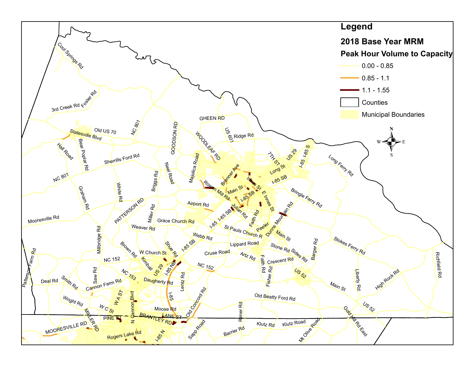